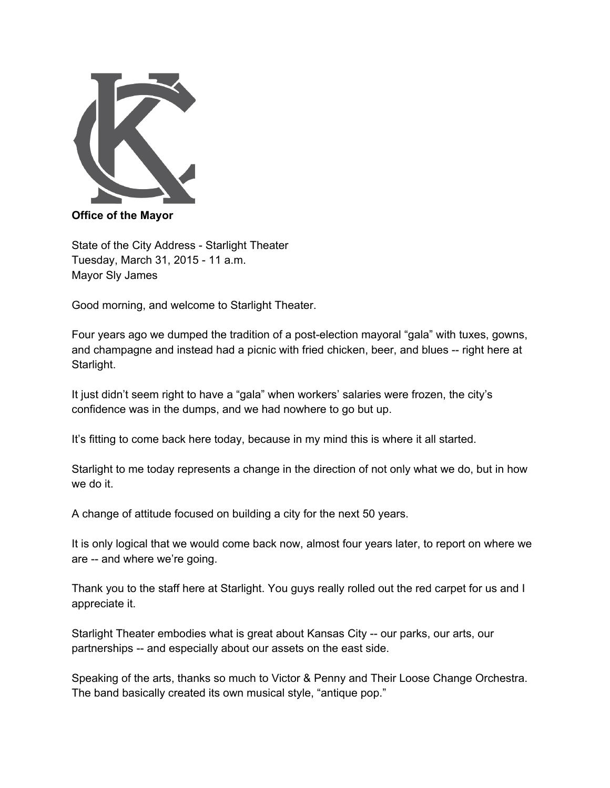

**Office of the Mayor**

State of the City Address - Starlight Theater Tuesday, March 31, 2015 - 11 a.m. Mayor Sly James

Good morning, and welcome to Starlight Theater.

Four years ago we dumped the tradition of a postelection mayoral "gala" with tuxes, gowns, and champagne and instead had a picnic with fried chicken, beer, and blues -- right here at Starlight.

It just didn't seem right to have a "gala" when workers' salaries were frozen, the city's confidence was in the dumps, and we had nowhere to go but up.

It's fitting to come back here today, because in my mind this is where it all started.

Starlight to me today represents a change in the direction of not only what we do, but in how we do it.

A change of attitude focused on building a city for the next 50 years.

It is only logical that we would come back now, almost four years later, to report on where we are -- and where we're going.

Thank you to the staff here at Starlight. You guys really rolled out the red carpet for us and I appreciate it.

Starlight Theater embodies what is great about Kansas City -- our parks, our arts, our partnerships -- and especially about our assets on the east side.

Speaking of the arts, thanks so much to Victor & Penny and Their Loose Change Orchestra. The band basically created its own musical style, "antique pop."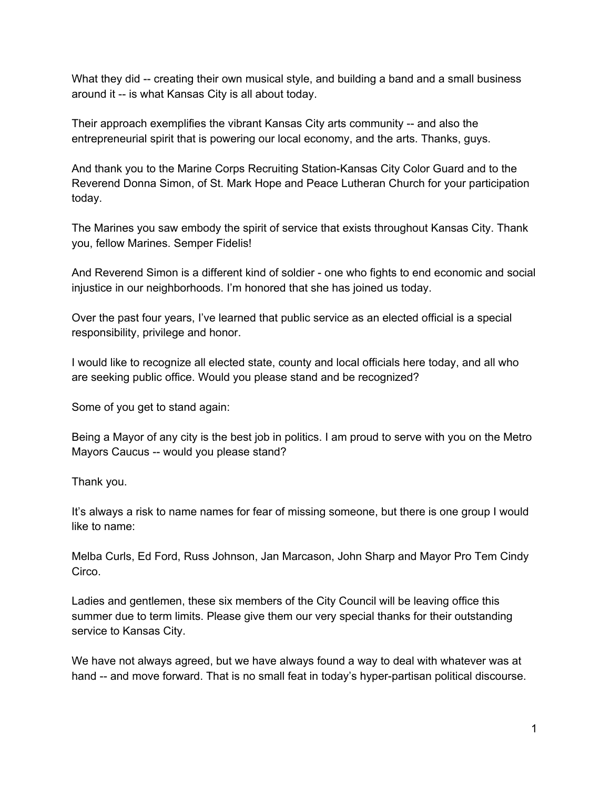What they did -- creating their own musical style, and building a band and a small business around it -- is what Kansas City is all about today.

Their approach exemplifies the vibrant Kansas City arts community -- and also the entrepreneurial spirit that is powering our local economy, and the arts. Thanks, guys.

And thank you to the Marine Corps Recruiting Station-Kansas City Color Guard and to the Reverend Donna Simon, of St. Mark Hope and Peace Lutheran Church for your participation today.

The Marines you saw embody the spirit of service that exists throughout Kansas City. Thank you, fellow Marines. Semper Fidelis!

And Reverend Simon is a different kind of soldier - one who fights to end economic and social injustice in our neighborhoods. I'm honored that she has joined us today.

Over the past four years, I've learned that public service as an elected official is a special responsibility, privilege and honor.

I would like to recognize all elected state, county and local officials here today, and all who are seeking public office. Would you please stand and be recognized?

Some of you get to stand again:

Being a Mayor of any city is the best job in politics. I am proud to serve with you on the Metro Mayors Caucus -- would you please stand?

Thank you.

It's always a risk to name names for fear of missing someone, but there is one group I would like to name:

Melba Curls, Ed Ford, Russ Johnson, Jan Marcason, John Sharp and Mayor Pro Tem Cindy Circo.

Ladies and gentlemen, these six members of the City Council will be leaving office this summer due to term limits. Please give them our very special thanks for their outstanding service to Kansas City.

We have not always agreed, but we have always found a way to deal with whatever was at hand -- and move forward. That is no small feat in today's hyper-partisan political discourse.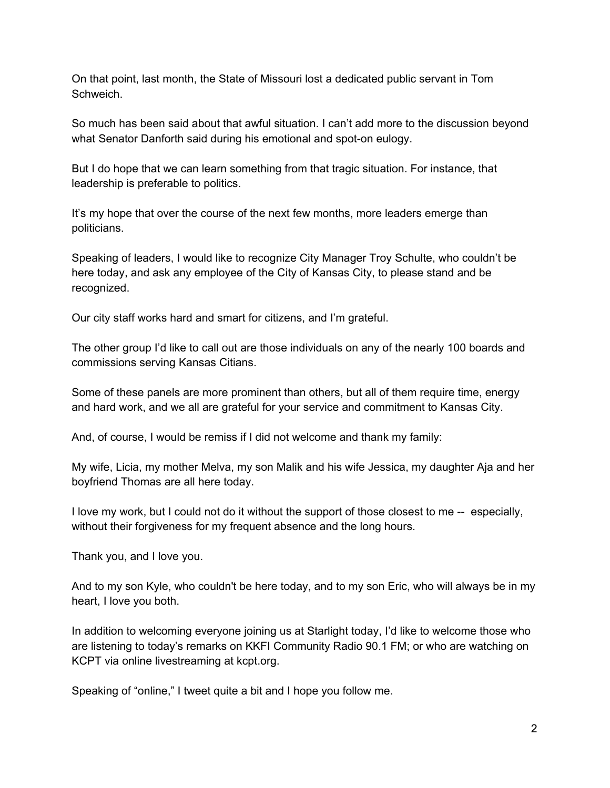On that point, last month, the State of Missouri lost a dedicated public servant in Tom Schweich.

So much has been said about that awful situation. I can't add more to the discussion beyond what Senator Danforth said during his emotional and spot-on eulogy.

But I do hope that we can learn something from that tragic situation. For instance, that leadership is preferable to politics.

It's my hope that over the course of the next few months, more leaders emerge than politicians.

Speaking of leaders, I would like to recognize City Manager Troy Schulte, who couldn't be here today, and ask any employee of the City of Kansas City, to please stand and be recognized.

Our city staff works hard and smart for citizens, and I'm grateful.

The other group I'd like to call out are those individuals on any of the nearly 100 boards and commissions serving Kansas Citians.

Some of these panels are more prominent than others, but all of them require time, energy and hard work, and we all are grateful for your service and commitment to Kansas City.

And, of course, I would be remiss if I did not welcome and thank my family:

My wife, Licia, my mother Melva, my son Malik and his wife Jessica, my daughter Aja and her boyfriend Thomas are all here today.

I love my work, but I could not do it without the support of those closest to me  $-$  especially, without their forgiveness for my frequent absence and the long hours.

Thank you, and I love you.

And to my son Kyle, who couldn't be here today, and to my son Eric, who will always be in my heart, I love you both.

In addition to welcoming everyone joining us at Starlight today, I'd like to welcome those who are listening to today's remarks on KKFI Community Radio 90.1 FM; or who are watching on KCPT via online livestreaming at kcpt.org.

Speaking of "online," I tweet quite a bit and I hope you follow me.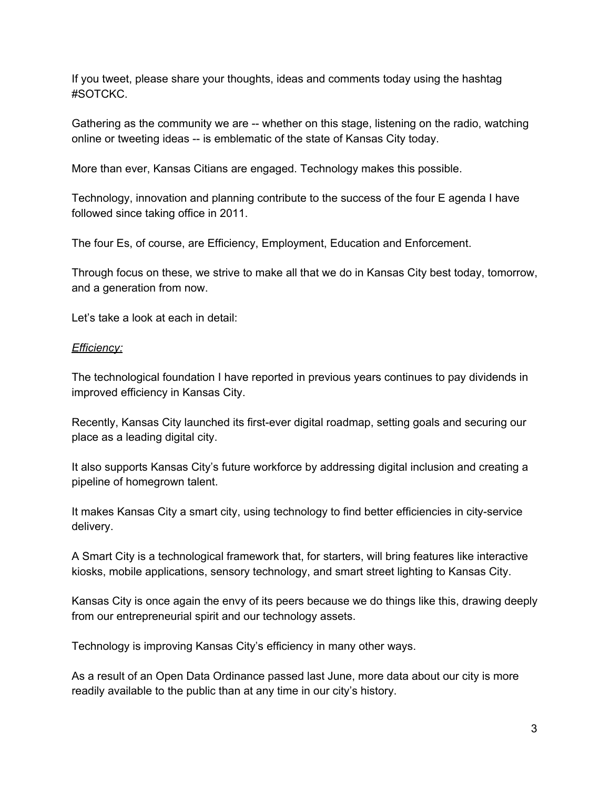If you tweet, please share your thoughts, ideas and comments today using the hashtag #SOTCKC.

Gathering as the community we are -- whether on this stage, listening on the radio, watching online or tweeting ideas -- is emblematic of the state of Kansas City today.

More than ever, Kansas Citians are engaged. Technology makes this possible.

Technology, innovation and planning contribute to the success of the four E agenda I have followed since taking office in 2011.

The four Es, of course, are Efficiency, Employment, Education and Enforcement.

Through focus on these, we strive to make all that we do in Kansas City best today, tomorrow, and a generation from now.

Let's take a look at each in detail:

#### *Efficiency:*

The technological foundation I have reported in previous years continues to pay dividends in improved efficiency in Kansas City.

Recently, Kansas City launched its first-ever digital roadmap, setting goals and securing our place as a leading digital city.

It also supports Kansas City's future workforce by addressing digital inclusion and creating a pipeline of homegrown talent.

It makes Kansas City a smart city, using technology to find better efficiencies in city-service delivery.

A Smart City is a technological framework that, for starters, will bring features like interactive kiosks, mobile applications, sensory technology, and smart street lighting to Kansas City.

Kansas City is once again the envy of its peers because we do things like this, drawing deeply from our entrepreneurial spirit and our technology assets.

Technology is improving Kansas City's efficiency in many other ways.

As a result of an Open Data Ordinance passed last June, more data about our city is more readily available to the public than at any time in our city's history.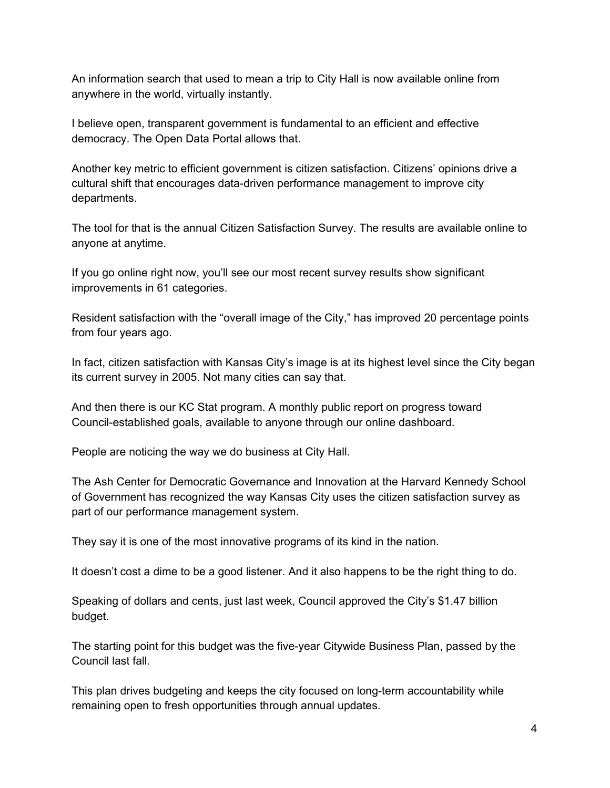An information search that used to mean a trip to City Hall is now available online from anywhere in the world, virtually instantly.

I believe open, transparent government is fundamental to an efficient and effective democracy. The Open Data Portal allows that.

Another key metric to efficient government is citizen satisfaction. Citizens' opinions drive a cultural shift that encourages data-driven performance management to improve city departments.

The tool for that is the annual Citizen Satisfaction Survey. The results are available online to anyone at anytime.

If you go online right now, you'll see our most recent survey results show significant improvements in 61 categories.

Resident satisfaction with the "overall image of the City," has improved 20 percentage points from four years ago.

In fact, citizen satisfaction with Kansas City's image is at its highest level since the City began its current survey in 2005. Not many cities can say that.

And then there is our KC Stat program. A monthly public report on progress toward Councilestablished goals, available to anyone through our online dashboard.

People are noticing the way we do business at City Hall.

The Ash Center for Democratic Governance and Innovation at the Harvard Kennedy School of Government has recognized the way Kansas City uses the citizen satisfaction survey as part of our performance management system.

They say it is one of the most innovative programs of its kind in the nation.

It doesn't cost a dime to be a good listener. And it also happens to be the right thing to do.

Speaking of dollars and cents, just last week, Council approved the City's \$1.47 billion budget.

The starting point for this budget was the five-year Citywide Business Plan, passed by the Council last fall.

This plan drives budgeting and keeps the city focused on long-term accountability while remaining open to fresh opportunities through annual updates.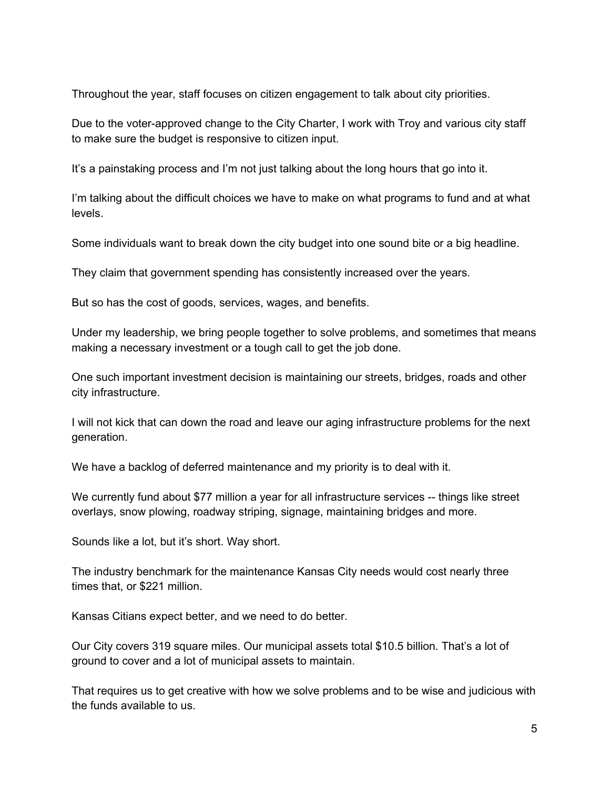Throughout the year, staff focuses on citizen engagement to talk about city priorities.

Due to the voter-approved change to the City Charter, I work with Troy and various city staff to make sure the budget is responsive to citizen input.

It's a painstaking process and I'm not just talking about the long hours that go into it.

I'm talking about the difficult choices we have to make on what programs to fund and at what levels.

Some individuals want to break down the city budget into one sound bite or a big headline.

They claim that government spending has consistently increased over the years.

But so has the cost of goods, services, wages, and benefits.

Under my leadership, we bring people together to solve problems, and sometimes that means making a necessary investment or a tough call to get the job done.

One such important investment decision is maintaining our streets, bridges, roads and other city infrastructure.

I will not kick that can down the road and leave our aging infrastructure problems for the next generation.

We have a backlog of deferred maintenance and my priority is to deal with it.

We currently fund about \$77 million a year for all infrastructure services -- things like street overlays, snow plowing, roadway striping, signage, maintaining bridges and more.

Sounds like a lot, but it's short. Way short.

The industry benchmark for the maintenance Kansas City needs would cost nearly three times that, or \$221 million.

Kansas Citians expect better, and we need to do better.

Our City covers 319 square miles. Our municipal assets total \$10.5 billion. That's a lot of ground to cover and a lot of municipal assets to maintain.

That requires us to get creative with how we solve problems and to be wise and judicious with the funds available to us.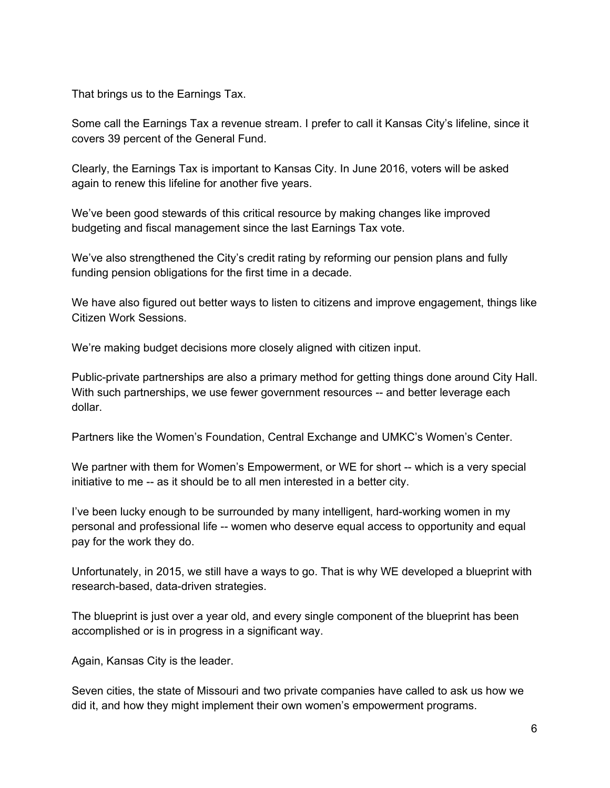That brings us to the Earnings Tax.

Some call the Earnings Tax a revenue stream. I prefer to call it Kansas City's lifeline, since it covers 39 percent of the General Fund.

Clearly, the Earnings Tax is important to Kansas City. In June 2016, voters will be asked again to renew this lifeline for another five years.

We've been good stewards of this critical resource by making changes like improved budgeting and fiscal management since the last Earnings Tax vote.

We've also strengthened the City's credit rating by reforming our pension plans and fully funding pension obligations for the first time in a decade.

We have also figured out better ways to listen to citizens and improve engagement, things like Citizen Work Sessions.

We're making budget decisions more closely aligned with citizen input.

Public-private partnerships are also a primary method for getting things done around City Hall. With such partnerships, we use fewer government resources -- and better leverage each dollar.

Partners like the Women's Foundation, Central Exchange and UMKC's Women's Center.

We partner with them for Women's Empowerment, or WE for short -- which is a very special initiative to me -- as it should be to all men interested in a better city.

I've been lucky enough to be surrounded by many intelligent, hard-working women in my personal and professional life -- women who deserve equal access to opportunity and equal pay for the work they do.

Unfortunately, in 2015, we still have a ways to go. That is why WE developed a blueprint with research-based, data-driven strategies.

The blueprint is just over a year old, and every single component of the blueprint has been accomplished or is in progress in a significant way.

Again, Kansas City is the leader.

Seven cities, the state of Missouri and two private companies have called to ask us how we did it, and how they might implement their own women's empowerment programs.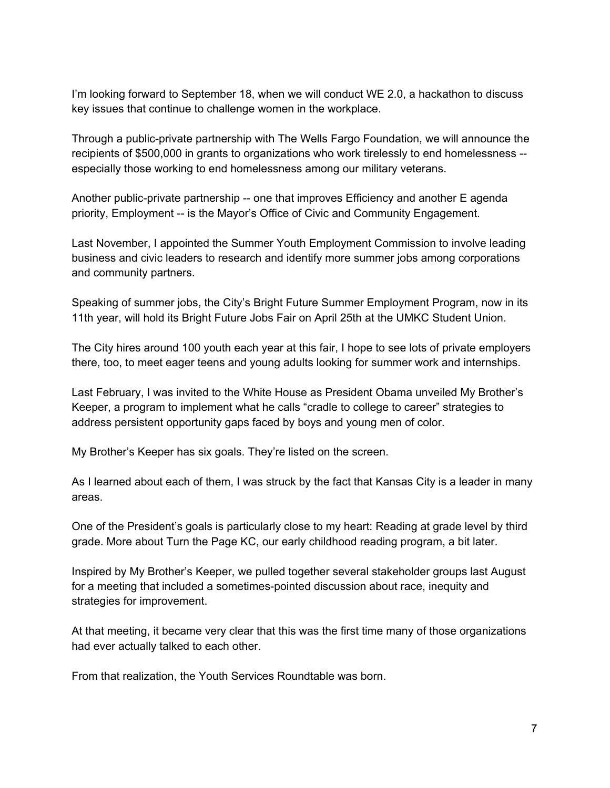I'm looking forward to September 18, when we will conduct WE 2.0, a hackathon to discuss key issues that continue to challenge women in the workplace.

Through a public-private partnership with The Wells Fargo Foundation, we will announce the recipients of \$500,000 in grants to organizations who work tirelessly to end homelessness especially those working to end homelessness among our military veterans.

Another public-private partnership -- one that improves Efficiency and another E agenda priority, Employment -- is the Mayor's Office of Civic and Community Engagement.

Last November, I appointed the Summer Youth Employment Commission to involve leading business and civic leaders to research and identify more summer jobs among corporations and community partners.

Speaking of summer jobs, the City's Bright Future Summer Employment Program, now in its 11th year, will hold its Bright Future Jobs Fair on April 25th at the UMKC Student Union.

The City hires around 100 youth each year at this fair, I hope to see lots of private employers there, too, to meet eager teens and young adults looking for summer work and internships.

Last February, I was invited to the White House as President Obama unveiled My Brother's Keeper, a program to implement what he calls "cradle to college to career" strategies to address persistent opportunity gaps faced by boys and young men of color.

My Brother's Keeper has six goals. They're listed on the screen.

As I learned about each of them, I was struck by the fact that Kansas City is a leader in many areas.

One of the President's goals is particularly close to my heart: Reading at grade level by third grade. More about Turn the Page KC, our early childhood reading program, a bit later.

Inspired by My Brother's Keeper, we pulled together several stakeholder groups last August for a meeting that included a sometimes-pointed discussion about race, inequity and strategies for improvement.

At that meeting, it became very clear that this was the first time many of those organizations had ever actually talked to each other.

From that realization, the Youth Services Roundtable was born.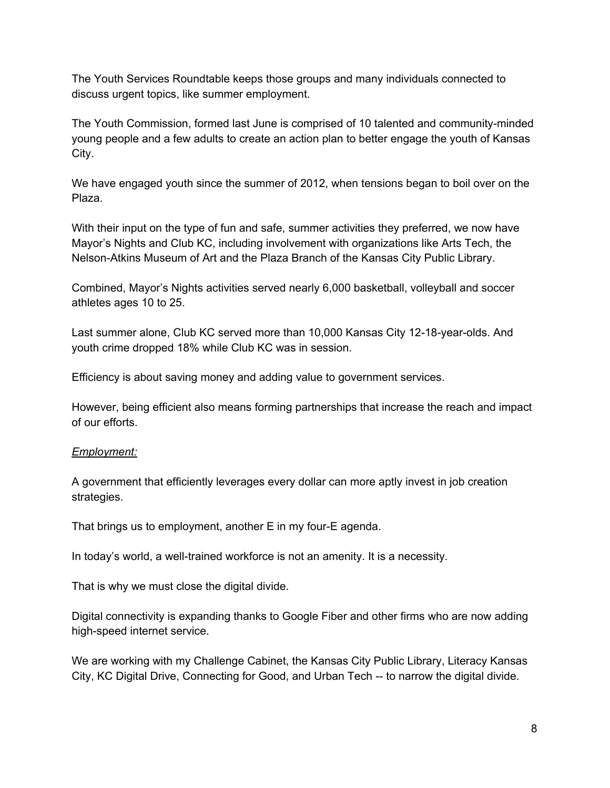The Youth Services Roundtable keeps those groups and many individuals connected to discuss urgent topics, like summer employment.

The Youth Commission, formed last June is comprised of 10 talented and community-minded young people and a few adults to create an action plan to better engage the youth of Kansas City.

We have engaged youth since the summer of 2012, when tensions began to boil over on the Plaza.

With their input on the type of fun and safe, summer activities they preferred, we now have Mayor's Nights and Club KC, including involvement with organizations like Arts Tech, the Nelson-Atkins Museum of Art and the Plaza Branch of the Kansas City Public Library.

Combined, Mayor's Nights activities served nearly 6,000 basketball, volleyball and soccer athletes ages 10 to 25.

Last summer alone, Club KC served more than 10,000 Kansas City 12-18-year-olds. And youth crime dropped 18% while Club KC was in session.

Efficiency is about saving money and adding value to government services.

However, being efficient also means forming partnerships that increase the reach and impact of our efforts.

# *Employment:*

A government that efficiently leverages every dollar can more aptly invest in job creation strategies.

That brings us to employment, another E in my four-E agenda.

In today's world, a well-trained workforce is not an amenity. It is a necessity.

That is why we must close the digital divide.

Digital connectivity is expanding thanks to Google Fiber and other firms who are now adding high-speed internet service.

We are working with my Challenge Cabinet, the Kansas City Public Library, Literacy Kansas City, KC Digital Drive, Connecting for Good, and Urban Tech to narrow the digital divide.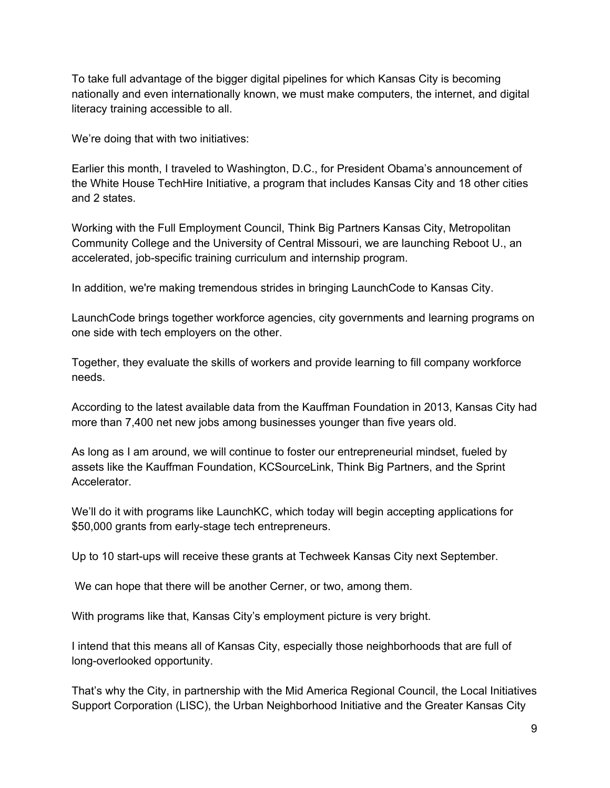To take full advantage of the bigger digital pipelines for which Kansas City is becoming nationally and even internationally known, we must make computers, the internet, and digital literacy training accessible to all.

We're doing that with two initiatives:

Earlier this month, I traveled to Washington, D.C., for President Obama's announcement of the White House TechHire Initiative, a program that includes Kansas City and 18 other cities and 2 states.

Working with the Full Employment Council, Think Big Partners Kansas City, Metropolitan Community College and the University of Central Missouri, we are launching Reboot U., an accelerated, job-specific training curriculum and internship program.

In addition, we're making tremendous strides in bringing LaunchCode to Kansas City.

LaunchCode brings together workforce agencies, city governments and learning programs on one side with tech employers on the other.

Together, they evaluate the skills of workers and provide learning to fill company workforce needs.

According to the latest available data from the Kauffman Foundation in 2013, Kansas City had more than 7,400 net new jobs among businesses younger than five years old.

As long as I am around, we will continue to foster our entrepreneurial mindset, fueled by assets like the Kauffman Foundation, KCSourceLink, Think Big Partners, and the Sprint Accelerator.

We'll do it with programs like LaunchKC, which today will begin accepting applications for \$50,000 grants from early-stage tech entrepreneurs.

Up to 10 start-ups will receive these grants at Techweek Kansas City next September.

We can hope that there will be another Cerner, or two, among them.

With programs like that, Kansas City's employment picture is very bright.

I intend that this means all of Kansas City, especially those neighborhoods that are full of long-overlooked opportunity.

That's why the City, in partnership with the Mid America Regional Council, the Local Initiatives Support Corporation (LISC), the Urban Neighborhood Initiative and the Greater Kansas City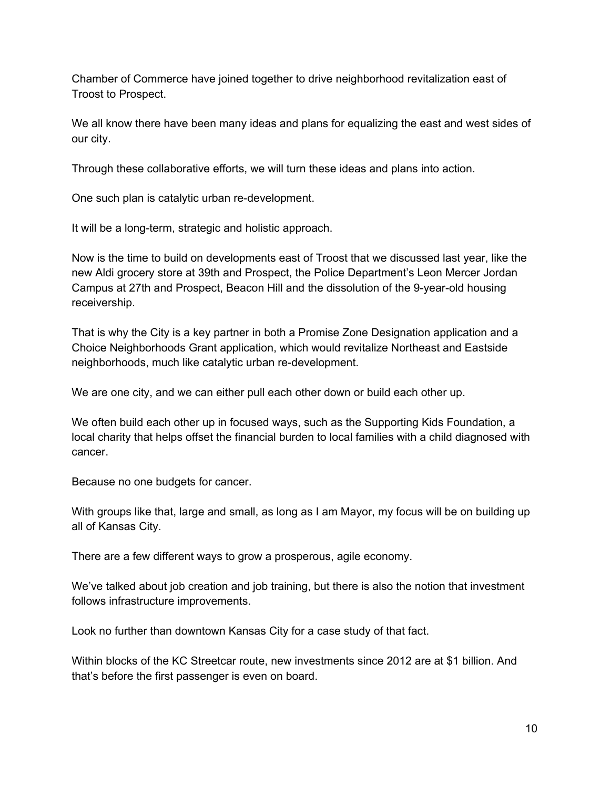Chamber of Commerce have joined together to drive neighborhood revitalization east of Troost to Prospect.

We all know there have been many ideas and plans for equalizing the east and west sides of our city.

Through these collaborative efforts, we will turn these ideas and plans into action.

One such plan is catalytic urban re-development.

It will be a long-term, strategic and holistic approach.

Now is the time to build on developments east of Troost that we discussed last year, like the new Aldi grocery store at 39th and Prospect, the Police Department's Leon Mercer Jordan Campus at 27th and Prospect, Beacon Hill and the dissolution of the 9-year-old housing receivership.

That is why the City is a key partner in both a Promise Zone Designation application and a Choice Neighborhoods Grant application, which would revitalize Northeast and Eastside neighborhoods, much like catalytic urban re-development.

We are one city, and we can either pull each other down or build each other up.

We often build each other up in focused ways, such as the Supporting Kids Foundation, a local charity that helps offset the financial burden to local families with a child diagnosed with cancer.

Because no one budgets for cancer.

With groups like that, large and small, as long as I am Mayor, my focus will be on building up all of Kansas City.

There are a few different ways to grow a prosperous, agile economy.

We've talked about job creation and job training, but there is also the notion that investment follows infrastructure improvements.

Look no further than downtown Kansas City for a case study of that fact.

Within blocks of the KC Streetcar route, new investments since 2012 are at \$1 billion. And that's before the first passenger is even on board.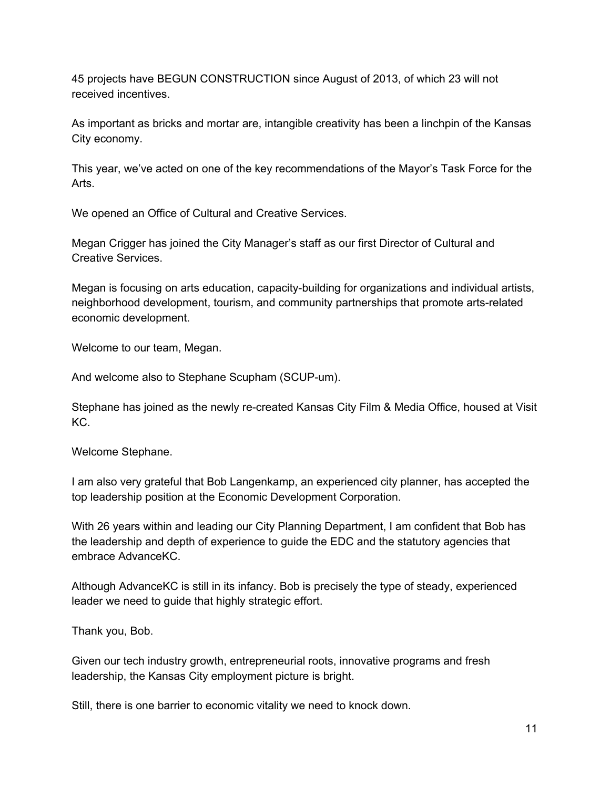45 projects have BEGUN CONSTRUCTION since August of 2013, of which 23 will not received incentives.

As important as bricks and mortar are, intangible creativity has been a linchpin of the Kansas City economy.

This year, we've acted on one of the key recommendations of the Mayor's Task Force for the Arts.

We opened an Office of Cultural and Creative Services.

Megan Crigger has joined the City Manager's staff as our first Director of Cultural and Creative Services.

Megan is focusing on arts education, capacity-building for organizations and individual artists, neighborhood development, tourism, and community partnerships that promote arts-related economic development.

Welcome to our team, Megan.

And welcome also to Stephane Scupham (SCUP-um).

Stephane has joined as the newly re-created Kansas City Film & Media Office, housed at Visit KC.

Welcome Stephane.

I am also very grateful that Bob Langenkamp, an experienced city planner, has accepted the top leadership position at the Economic Development Corporation.

With 26 years within and leading our City Planning Department, I am confident that Bob has the leadership and depth of experience to guide the EDC and the statutory agencies that embrace AdvanceKC.

Although AdvanceKC is still in its infancy. Bob is precisely the type of steady, experienced leader we need to guide that highly strategic effort.

Thank you, Bob.

Given our tech industry growth, entrepreneurial roots, innovative programs and fresh leadership, the Kansas City employment picture is bright.

Still, there is one barrier to economic vitality we need to knock down.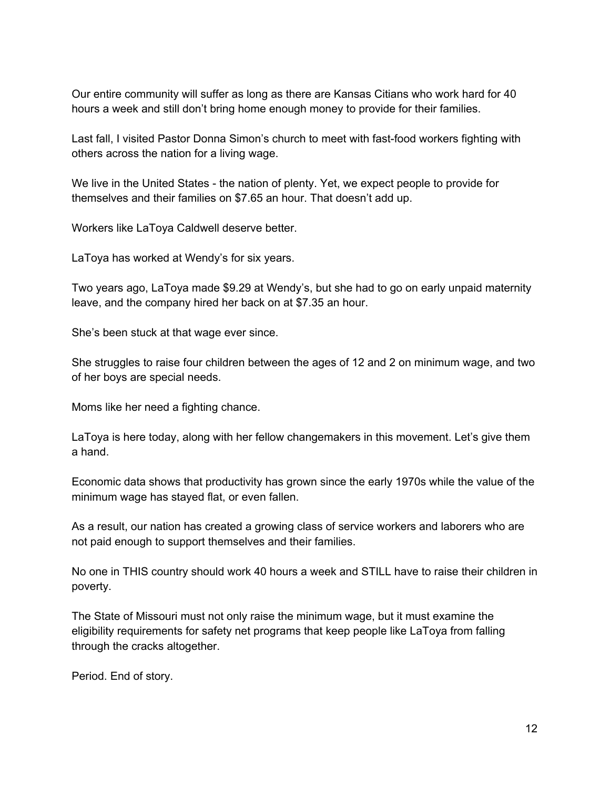Our entire community will suffer as long as there are Kansas Citians who work hard for 40 hours a week and still don't bring home enough money to provide for their families.

Last fall, I visited Pastor Donna Simon's church to meet with fast-food workers fighting with others across the nation for a living wage.

We live in the United States - the nation of plenty. Yet, we expect people to provide for themselves and their families on \$7.65 an hour. That doesn't add up.

Workers like LaToya Caldwell deserve better.

LaToya has worked at Wendy's for six years.

Two years ago, LaToya made \$9.29 at Wendy's, but she had to go on early unpaid maternity leave, and the company hired her back on at \$7.35 an hour.

She's been stuck at that wage ever since.

She struggles to raise four children between the ages of 12 and 2 on minimum wage, and two of her boys are special needs.

Moms like her need a fighting chance.

LaToya is here today, along with her fellow changemakers in this movement. Let's give them a hand.

Economic data shows that productivity has grown since the early 1970s while the value of the minimum wage has stayed flat, or even fallen.

As a result, our nation has created a growing class of service workers and laborers who are not paid enough to support themselves and their families.

No one in THIS country should work 40 hours a week and STILL have to raise their children in poverty.

The State of Missouri must not only raise the minimum wage, but it must examine the eligibility requirements for safety net programs that keep people like LaToya from falling through the cracks altogether.

Period. End of story.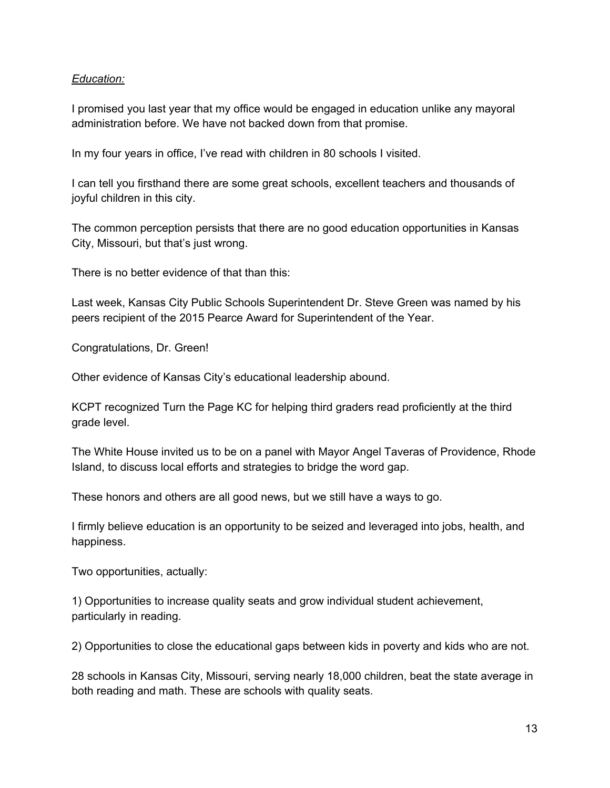## *Education:*

I promised you last year that my office would be engaged in education unlike any mayoral administration before. We have not backed down from that promise.

In my four years in office, I've read with children in 80 schools I visited.

I can tell you firsthand there are some great schools, excellent teachers and thousands of joyful children in this city.

The common perception persists that there are no good education opportunities in Kansas City, Missouri, but that's just wrong.

There is no better evidence of that than this:

Last week, Kansas City Public Schools Superintendent Dr. Steve Green was named by his peers recipient of the 2015 Pearce Award for Superintendent of the Year.

Congratulations, Dr. Green!

Other evidence of Kansas City's educational leadership abound.

KCPT recognized Turn the Page KC for helping third graders read proficiently at the third grade level.

The White House invited us to be on a panel with Mayor Angel Taveras of Providence, Rhode Island, to discuss local efforts and strategies to bridge the word gap.

These honors and others are all good news, but we still have a ways to go.

I firmly believe education is an opportunity to be seized and leveraged into jobs, health, and happiness.

Two opportunities, actually:

1) Opportunities to increase quality seats and grow individual student achievement, particularly in reading.

2) Opportunities to close the educational gaps between kids in poverty and kids who are not.

28 schools in Kansas City, Missouri, serving nearly 18,000 children, beat the state average in both reading and math. These are schools with quality seats.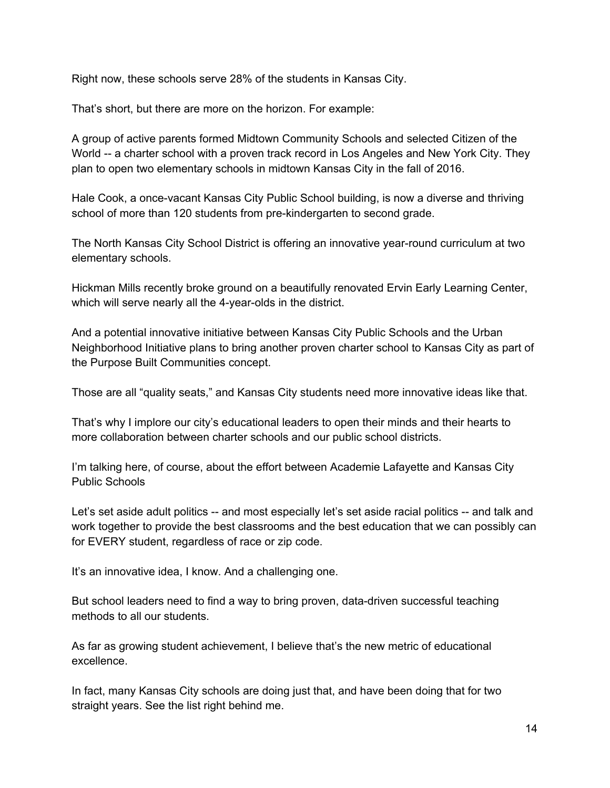Right now, these schools serve 28% of the students in Kansas City.

That's short, but there are more on the horizon. For example:

A group of active parents formed Midtown Community Schools and selected Citizen of the World -- a charter school with a proven track record in Los Angeles and New York City. They plan to open two elementary schools in midtown Kansas City in the fall of 2016.

Hale Cook, a once-vacant Kansas City Public School building, is now a diverse and thriving school of more than 120 students from pre-kindergarten to second grade.

The North Kansas City School District is offering an innovative year-round curriculum at two elementary schools.

Hickman Mills recently broke ground on a beautifully renovated Ervin Early Learning Center, which will serve nearly all the 4-year-olds in the district.

And a potential innovative initiative between Kansas City Public Schools and the Urban Neighborhood Initiative plans to bring another proven charter school to Kansas City as part of the Purpose Built Communities concept.

Those are all "quality seats," and Kansas City students need more innovative ideas like that.

That's why I implore our city's educational leaders to open their minds and their hearts to more collaboration between charter schools and our public school districts.

I'm talking here, of course, about the effort between Academie Lafayette and Kansas City Public Schools

Let's set aside adult politics -- and most especially let's set aside racial politics -- and talk and work together to provide the best classrooms and the best education that we can possibly can for EVERY student, regardless of race or zip code.

It's an innovative idea, I know. And a challenging one.

But school leaders need to find a way to bring proven, data-driven successful teaching methods to all our students.

As far as growing student achievement, I believe that's the new metric of educational excellence.

In fact, many Kansas City schools are doing just that, and have been doing that for two straight years. See the list right behind me.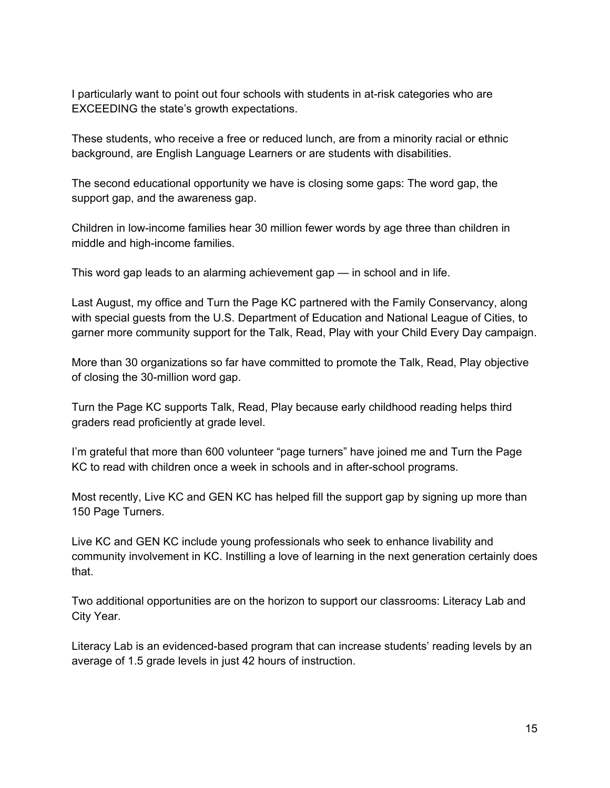I particularly want to point out four schools with students in at-risk categories who are EXCEEDING the state's growth expectations.

These students, who receive a free or reduced lunch, are from a minority racial or ethnic background, are English Language Learners or are students with disabilities.

The second educational opportunity we have is closing some gaps: The word gap, the support gap, and the awareness gap.

Children in low-income families hear 30 million fewer words by age three than children in middle and high-income families.

This word gap leads to an alarming achievement gap — in school and in life.

Last August, my office and Turn the Page KC partnered with the Family Conservancy, along with special guests from the U.S. Department of Education and National League of Cities, to garner more community support for the Talk, Read, Play with your Child Every Day campaign.

More than 30 organizations so far have committed to promote the Talk, Read, Play objective of closing the 30-million word gap.

Turn the Page KC supports Talk, Read, Play because early childhood reading helps third graders read proficiently at grade level.

I'm grateful that more than 600 volunteer "page turners" have joined me and Turn the Page KC to read with children once a week in schools and in after-school programs.

Most recently, Live KC and GEN KC has helped fill the support gap by signing up more than 150 Page Turners.

Live KC and GEN KC include young professionals who seek to enhance livability and community involvement in KC. Instilling a love of learning in the next generation certainly does that.

Two additional opportunities are on the horizon to support our classrooms: Literacy Lab and City Year.

Literacy Lab is an evidenced-based program that can increase students' reading levels by an average of 1.5 grade levels in just 42 hours of instruction.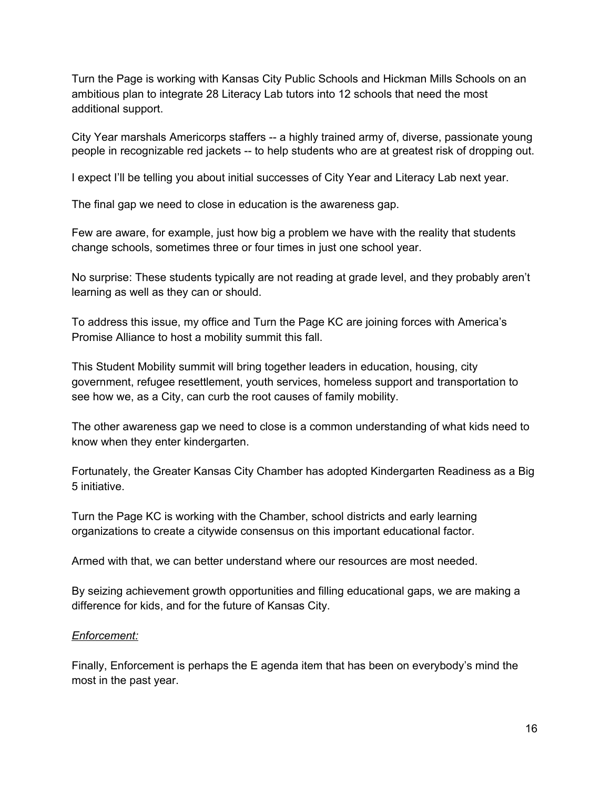Turn the Page is working with Kansas City Public Schools and Hickman Mills Schools on an ambitious plan to integrate 28 Literacy Lab tutors into 12 schools that need the most additional support.

City Year marshals Americorps staffers -- a highly trained army of, diverse, passionate young people in recognizable red jackets -- to help students who are at greatest risk of dropping out.

I expect I'll be telling you about initial successes of City Year and Literacy Lab next year.

The final gap we need to close in education is the awareness gap.

Few are aware, for example, just how big a problem we have with the reality that students change schools, sometimes three or four times in just one school year.

No surprise: These students typically are not reading at grade level, and they probably aren't learning as well as they can or should.

To address this issue, my office and Turn the Page KC are joining forces with America's Promise Alliance to host a mobility summit this fall.

This Student Mobility summit will bring together leaders in education, housing, city government, refugee resettlement, youth services, homeless support and transportation to see how we, as a City, can curb the root causes of family mobility.

The other awareness gap we need to close is a common understanding of what kids need to know when they enter kindergarten.

Fortunately, the Greater Kansas City Chamber has adopted Kindergarten Readiness as a Big 5 initiative.

Turn the Page KC is working with the Chamber, school districts and early learning organizations to create a citywide consensus on this important educational factor.

Armed with that, we can better understand where our resources are most needed.

By seizing achievement growth opportunities and filling educational gaps, we are making a difference for kids, and for the future of Kansas City.

# *Enforcement:*

Finally, Enforcement is perhaps the E agenda item that has been on everybody's mind the most in the past year.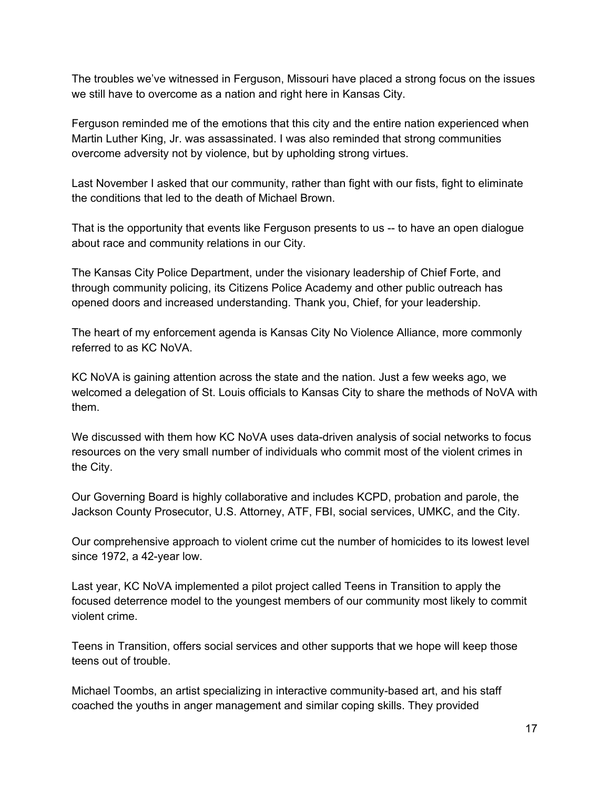The troubles we've witnessed in Ferguson, Missouri have placed a strong focus on the issues we still have to overcome as a nation and right here in Kansas City.

Ferguson reminded me of the emotions that this city and the entire nation experienced when Martin Luther King, Jr. was assassinated. I was also reminded that strong communities overcome adversity not by violence, but by upholding strong virtues.

Last November I asked that our community, rather than fight with our fists, fight to eliminate the conditions that led to the death of Michael Brown.

That is the opportunity that events like Ferguson presents to us -- to have an open dialogue about race and community relations in our City.

The Kansas City Police Department, under the visionary leadership of Chief Forte, and through community policing, its Citizens Police Academy and other public outreach has opened doors and increased understanding. Thank you, Chief, for your leadership.

The heart of my enforcement agenda is Kansas City No Violence Alliance, more commonly referred to as KC NoVA.

KC NoVA is gaining attention across the state and the nation. Just a few weeks ago, we welcomed a delegation of St. Louis officials to Kansas City to share the methods of NoVA with them.

We discussed with them how KC NoVA uses data-driven analysis of social networks to focus resources on the very small number of individuals who commit most of the violent crimes in the City.

Our Governing Board is highly collaborative and includes KCPD, probation and parole, the Jackson County Prosecutor, U.S. Attorney, ATF, FBI, social services, UMKC, and the City.

Our comprehensive approach to violent crime cut the number of homicides to its lowest level since 1972, a 42-year low.

Last year, KC NoVA implemented a pilot project called Teens in Transition to apply the focused deterrence model to the youngest members of our community most likely to commit violent crime.

Teens in Transition, offers social services and other supports that we hope will keep those teens out of trouble.

Michael Toombs, an artist specializing in interactive community-based art, and his staff coached the youths in anger management and similar coping skills. They provided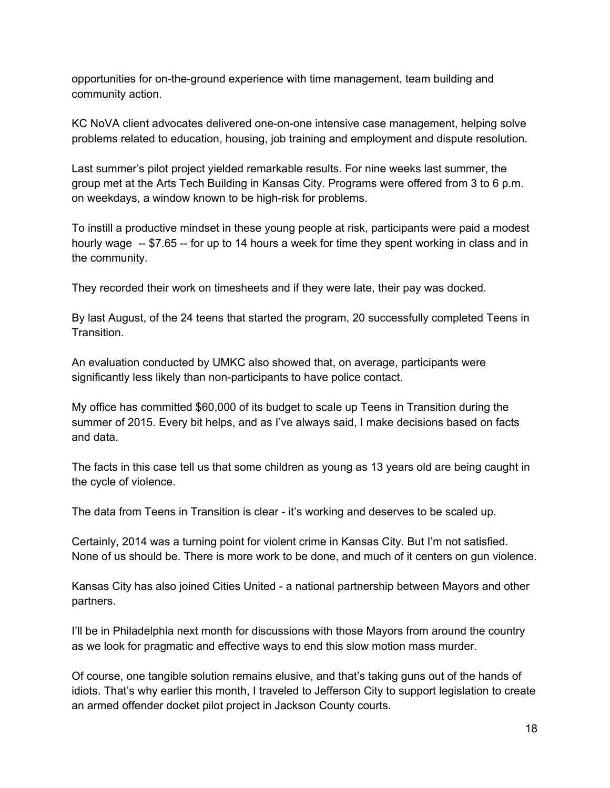opportunities for on-the-ground experience with time management, team building and community action.

KC NoVA client advocates delivered one-on-one intensive case management, helping solve problems related to education, housing, job training and employment and dispute resolution.

Last summer's pilot project yielded remarkable results. For nine weeks last summer, the group met at the Arts Tech Building in Kansas City. Programs were offered from 3 to 6 p.m. on weekdays, a window known to be high-risk for problems.

To instill a productive mindset in these young people at risk, participants were paid a modest hourly wage  $-$  \$7.65  $-$  for up to 14 hours a week for time they spent working in class and in the community.

They recorded their work on timesheets and if they were late, their pay was docked.

By last August, of the 24 teens that started the program, 20 successfully completed Teens in Transition.

An evaluation conducted by UMKC also showed that, on average, participants were significantly less likely than non-participants to have police contact.

My office has committed \$60,000 of its budget to scale up Teens in Transition during the summer of 2015. Every bit helps, and as I've always said, I make decisions based on facts and data.

The facts in this case tell us that some children as young as 13 years old are being caught in the cycle of violence.

The data from Teens in Transition is clear - it's working and deserves to be scaled up.

Certainly, 2014 was a turning point for violent crime in Kansas City. But I'm not satisfied. None of us should be. There is more work to be done, and much of it centers on gun violence.

Kansas City has also joined Cities United - a national partnership between Mayors and other partners.

I'll be in Philadelphia next month for discussions with those Mayors from around the country as we look for pragmatic and effective ways to end this slow motion mass murder.

Of course, one tangible solution remains elusive, and that's taking guns out of the hands of idiots. That's why earlier this month, I traveled to Jefferson City to support legislation to create an armed offender docket pilot project in Jackson County courts.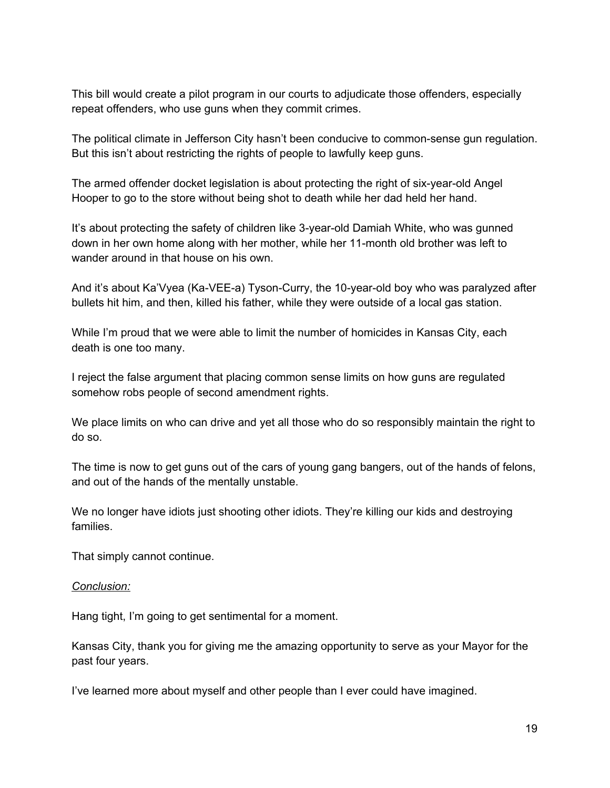This bill would create a pilot program in our courts to adjudicate those offenders, especially repeat offenders, who use guns when they commit crimes.

The political climate in Jefferson City hasn't been conducive to common-sense gun regulation. But this isn't about restricting the rights of people to lawfully keep guns.

The armed offender docket legislation is about protecting the right of six-year-old Angel Hooper to go to the store without being shot to death while her dad held her hand.

It's about protecting the safety of children like 3-year-old Damiah White, who was gunned down in her own home along with her mother, while her 11-month old brother was left to wander around in that house on his own.

And it's about Ka'Vyea (Ka-VEE-a) Tyson-Curry, the 10-year-old boy who was paralyzed after bullets hit him, and then, killed his father, while they were outside of a local gas station.

While I'm proud that we were able to limit the number of homicides in Kansas City, each death is one too many.

I reject the false argument that placing common sense limits on how guns are regulated somehow robs people of second amendment rights.

We place limits on who can drive and yet all those who do so responsibly maintain the right to do so.

The time is now to get guns out of the cars of young gang bangers, out of the hands of felons, and out of the hands of the mentally unstable.

We no longer have idiots just shooting other idiots. They're killing our kids and destroying families.

That simply cannot continue.

### *Conclusion:*

Hang tight, I'm going to get sentimental for a moment.

Kansas City, thank you for giving me the amazing opportunity to serve as your Mayor for the past four years.

I've learned more about myself and other people than I ever could have imagined.